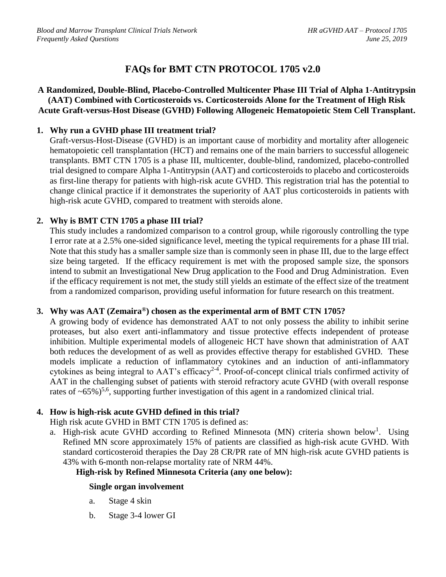# **FAQs for BMT CTN PROTOCOL 1705 v2.0**

#### **A Randomized, Double-Blind, Placebo-Controlled Multicenter Phase III Trial of Alpha 1-Antitrypsin (AAT) Combined with Corticosteroids vs. Corticosteroids Alone for the Treatment of High Risk Acute Graft-versus-Host Disease (GVHD) Following Allogeneic Hematopoietic Stem Cell Transplant.**

## **1. Why run a GVHD phase III treatment trial?**

Graft-versus-Host-Disease (GVHD) is an important cause of morbidity and mortality after allogeneic hematopoietic cell transplantation (HCT) and remains one of the main barriers to successful allogeneic transplants. BMT CTN 1705 is a phase III, multicenter, double-blind, randomized, placebo-controlled trial designed to compare Alpha 1-Antitrypsin (AAT) and corticosteroids to placebo and corticosteroids as first-line therapy for patients with high-risk acute GVHD. This registration trial has the potential to change clinical practice if it demonstrates the superiority of AAT plus corticosteroids in patients with high-risk acute GVHD, compared to treatment with steroids alone.

# **2. Why is BMT CTN 1705 a phase III trial?**

This study includes a randomized comparison to a control group, while rigorously controlling the type I error rate at a 2.5% one-sided significance level, meeting the typical requirements for a phase III trial. Note that this study has a smaller sample size than is commonly seen in phase III, due to the large effect size being targeted. If the efficacy requirement is met with the proposed sample size, the sponsors intend to submit an Investigational New Drug application to the Food and Drug Administration. Even if the efficacy requirement is not met, the study still yields an estimate of the effect size of the treatment from a randomized comparison, providing useful information for future research on this treatment.

## **3. Why was AAT (Zemaira®) chosen as the experimental arm of BMT CTN 1705?**

A growing body of evidence has demonstrated AAT to not only possess the ability to inhibit serine proteases, but also exert anti-inflammatory and tissue protective effects independent of protease inhibition. Multiple experimental models of allogeneic HCT have shown that administration of AAT both reduces the development of as well as provides effective therapy for established GVHD. These models implicate a reduction of inflammatory cytokines and an induction of anti-inflammatory cytokines as being integral to  $AAT$ 's efficacy<sup>2-4</sup>. Proof-of-concept clinical trials confirmed activity of AAT in the challenging subset of patients with steroid refractory acute GVHD (with overall response rates of  $\sim 65\%$ )<sup>5,6</sup>, supporting further investigation of this agent in a randomized clinical trial.

# **4. How is high-risk acute GVHD defined in this trial?**

High risk acute GVHD in BMT CTN 1705 is defined as:

a. High-risk acute GVHD according to Refined Minnesota (MN) criteria shown below<sup>1</sup>. Using Refined MN score approximately 15% of patients are classified as high-risk acute GVHD. With standard corticosteroid therapies the Day 28 CR/PR rate of MN high-risk acute GVHD patients is 43% with 6-month non-relapse mortality rate of NRM 44%.

## **High-risk by Refined Minnesota Criteria (any one below):**

## **Single organ involvement**

- a. Stage 4 skin
- b. Stage 3-4 lower GI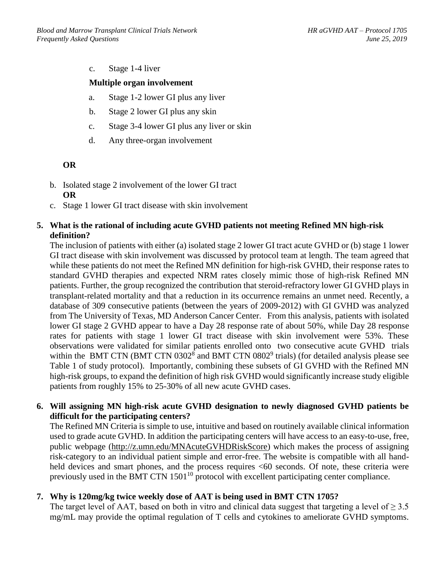c. Stage 1-4 liver

#### **Multiple organ involvement**

- a. Stage 1-2 lower GI plus any liver
- b. Stage 2 lower GI plus any skin
- c. Stage 3-4 lower GI plus any liver or skin
- d. Any three-organ involvement

#### **OR**

- b. Isolated stage 2 involvement of the lower GI tract **OR**
- c. Stage 1 lower GI tract disease with skin involvement

#### **5. What is the rational of including acute GVHD patients not meeting Refined MN high-risk definition?**

The inclusion of patients with either (a) isolated stage 2 lower GI tract acute GVHD or (b) stage 1 lower GI tract disease with skin involvement was discussed by protocol team at length. The team agreed that while these patients do not meet the Refined MN definition for high-risk GVHD, their response rates to standard GVHD therapies and expected NRM rates closely mimic those of high-risk Refined MN patients. Further, the group recognized the contribution that steroid-refractory lower GI GVHD plays in transplant-related mortality and that a reduction in its occurrence remains an unmet need. Recently, a database of 309 consecutive patients (between the years of 2009-2012) with GI GVHD was analyzed from The University of Texas, MD Anderson Cancer Center. From this analysis, patients with isolated lower GI stage 2 GVHD appear to have a Day 28 response rate of about 50%, while Day 28 response rates for patients with stage 1 lower GI tract disease with skin involvement were 53%. These observations were validated for similar patients enrolled onto two consecutive acute GVHD trials within the BMT CTN (BMT CTN  $0302^8$  and BMT CTN  $0802^9$  trials) (for detailed analysis please see Table 1 of study protocol). Importantly, combining these subsets of GI GVHD with the Refined MN high-risk groups, to expand the definition of high risk GVHD would significantly increase study eligible patients from roughly 15% to 25-30% of all new acute GVHD cases.

#### **6. Will assigning MN high-risk acute GVHD designation to newly diagnosed GVHD patients be difficult for the participating centers?**

The Refined MN Criteria is simple to use, intuitive and based on routinely available clinical information used to grade acute GVHD. In addition the participating centers will have access to an easy-to-use, free, public webpage [\(http://z.umn.edu/MNAcuteGVHDRiskScore\)](http://z.umn.edu/MNAcuteGVHDRiskScore) which makes the process of assigning risk-category to an individual patient simple and error-free. The website is compatible with all handheld devices and smart phones, and the process requires <60 seconds. Of note, these criteria were previously used in the BMT CTN 1501<sup>10</sup> protocol with excellent participating center compliance.

## **7. Why is 120mg/kg twice weekly dose of AAT is being used in BMT CTN 1705?**

The target level of AAT, based on both in vitro and clinical data suggest that targeting a level of  $\geq 3.5$ mg/mL may provide the optimal regulation of T cells and cytokines to ameliorate GVHD symptoms.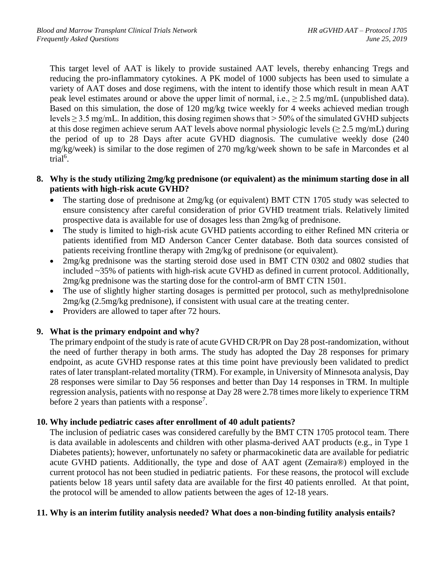This target level of AAT is likely to provide sustained AAT levels, thereby enhancing Tregs and reducing the pro-inflammatory cytokines. A PK model of 1000 subjects has been used to simulate a variety of AAT doses and dose regimens, with the intent to identify those which result in mean AAT peak level estimates around or above the upper limit of normal, i.e.,  $\geq 2.5$  mg/mL (unpublished data). Based on this simulation, the dose of 120 mg/kg twice weekly for 4 weeks achieved median trough levels  $\geq$  3.5 mg/mL. In addition, this dosing regimen shows that  $>$  50% of the simulated GVHD subjects at this dose regimen achieve serum AAT levels above normal physiologic levels ( $\geq 2.5$  mg/mL) during the period of up to 28 Days after acute GVHD diagnosis. The cumulative weekly dose (240 mg/kg/week) is similar to the dose regimen of 270 mg/kg/week shown to be safe in Marcondes et al trial<sup>6</sup>.

#### **8. Why is the study utilizing 2mg/kg prednisone (or equivalent) as the minimum starting dose in all patients with high-risk acute GVHD?**

- The starting dose of prednisone at 2mg/kg (or equivalent) BMT CTN 1705 study was selected to ensure consistency after careful consideration of prior GVHD treatment trials. Relatively limited prospective data is available for use of dosages less than 2mg/kg of prednisone.
- The study is limited to high-risk acute GVHD patients according to either Refined MN criteria or patients identified from MD Anderson Cancer Center database. Both data sources consisted of patients receiving frontline therapy with 2mg/kg of prednisone (or equivalent).
- 2mg/kg prednisone was the starting steroid dose used in BMT CTN 0302 and 0802 studies that included ~35% of patients with high-risk acute GVHD as defined in current protocol. Additionally, 2mg/kg prednisone was the starting dose for the control-arm of BMT CTN 1501.
- The use of slightly higher starting dosages is permitted per protocol, such as methylprednisolone 2mg/kg (2.5mg/kg prednisone), if consistent with usual care at the treating center.
- Providers are allowed to taper after 72 hours.

## **9. What is the primary endpoint and why?**

The primary endpoint of the study is rate of acute GVHD CR/PR on Day 28 post-randomization, without the need of further therapy in both arms. The study has adopted the Day 28 responses for primary endpoint, as acute GVHD response rates at this time point have previously been validated to predict rates of later transplant-related mortality (TRM). For example, in University of Minnesota analysis, Day 28 responses were similar to Day 56 responses and better than Day 14 responses in TRM. In multiple regression analysis, patients with no response at Day 28 were 2.78 times more likely to experience TRM before 2 years than patients with a response<sup>7</sup>.

## **10. Why include pediatric cases after enrollment of 40 adult patients?**

The inclusion of pediatric cases was considered carefully by the BMT CTN 1705 protocol team. There is data available in adolescents and children with other plasma-derived AAT products (e.g., in Type 1 Diabetes patients); however, unfortunately no safety or pharmacokinetic data are available for pediatric acute GVHD patients. Additionally, the type and dose of AAT agent (Zemaira®) employed in the current protocol has not been studied in pediatric patients. For these reasons, the protocol will exclude patients below 18 years until safety data are available for the first 40 patients enrolled. At that point, the protocol will be amended to allow patients between the ages of 12-18 years.

## **11. Why is an interim futility analysis needed? What does a non-binding futility analysis entails?**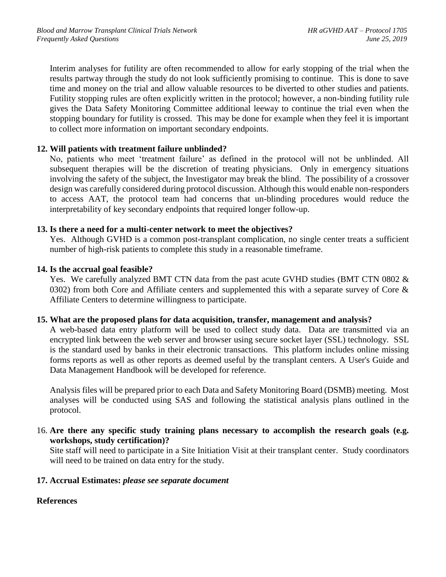Interim analyses for futility are often recommended to allow for early stopping of the trial when the results partway through the study do not look sufficiently promising to continue. This is done to save time and money on the trial and allow valuable resources to be diverted to other studies and patients. Futility stopping rules are often explicitly written in the protocol; however, a non-binding futility rule gives the Data Safety Monitoring Committee additional leeway to continue the trial even when the stopping boundary for futility is crossed. This may be done for example when they feel it is important to collect more information on important secondary endpoints.

#### **12. Will patients with treatment failure unblinded?**

No, patients who meet 'treatment failure' as defined in the protocol will not be unblinded. All subsequent therapies will be the discretion of treating physicians. Only in emergency situations involving the safety of the subject, the Investigator may break the blind. The possibility of a crossover design was carefully considered during protocol discussion. Although this would enable non-responders to access AAT, the protocol team had concerns that un-blinding procedures would reduce the interpretability of key secondary endpoints that required longer follow-up.

#### **13. Is there a need for a multi-center network to meet the objectives?**

Yes. Although GVHD is a common post-transplant complication, no single center treats a sufficient number of high-risk patients to complete this study in a reasonable timeframe.

#### **14. Is the accrual goal feasible?**

Yes. We carefully analyzed BMT CTN data from the past acute GVHD studies (BMT CTN 0802 & 0302) from both Core and Affiliate centers and supplemented this with a separate survey of Core  $\&$ Affiliate Centers to determine willingness to participate.

#### **15. What are the proposed plans for data acquisition, transfer, management and analysis?**

A web-based data entry platform will be used to collect study data. Data are transmitted via an encrypted link between the web server and browser using secure socket layer (SSL) technology. SSL is the standard used by banks in their electronic transactions. This platform includes online missing forms reports as well as other reports as deemed useful by the transplant centers. A User's Guide and Data Management Handbook will be developed for reference.

Analysis files will be prepared prior to each Data and Safety Monitoring Board (DSMB) meeting. Most analyses will be conducted using SAS and following the statistical analysis plans outlined in the protocol.

16. **Are there any specific study training plans necessary to accomplish the research goals (e.g. workshops, study certification)?**

Site staff will need to participate in a Site Initiation Visit at their transplant center. Study coordinators will need to be trained on data entry for the study.

#### **17. Accrual Estimates:** *please see separate document*

## **References**